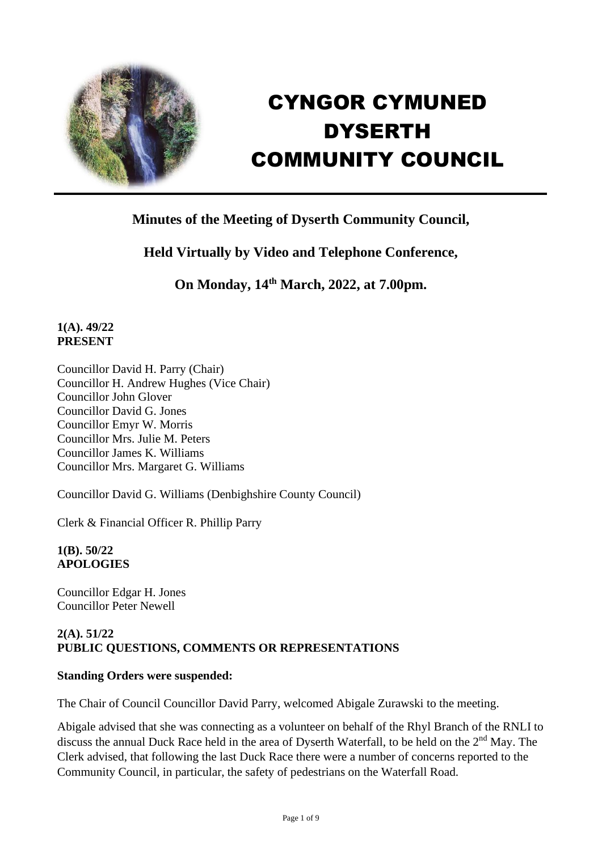

# CYNGOR CYMUNED DYSERTH COMMUNITY COUNCIL

# **Minutes of the Meeting of Dyserth Community Council,**

# **Held Virtually by Video and Telephone Conference,**

**On Monday, 14th March, 2022, at 7.00pm.**

#### **1(A). 49/22 PRESENT**

Councillor David H. Parry (Chair) Councillor H. Andrew Hughes (Vice Chair) Councillor John Glover Councillor David G. Jones Councillor Emyr W. Morris Councillor Mrs. Julie M. Peters Councillor James K. Williams Councillor Mrs. Margaret G. Williams

Councillor David G. Williams (Denbighshire County Council)

Clerk & Financial Officer R. Phillip Parry

**1(B). 50/22 APOLOGIES**

Councillor Edgar H. Jones Councillor Peter Newell

#### **2(A). 51/22 PUBLIC QUESTIONS, COMMENTS OR REPRESENTATIONS**

#### **Standing Orders were suspended:**

The Chair of Council Councillor David Parry, welcomed Abigale Zurawski to the meeting.

Abigale advised that she was connecting as a volunteer on behalf of the Rhyl Branch of the RNLI to discuss the annual Duck Race held in the area of Dyserth Waterfall, to be held on the 2<sup>nd</sup> May. The Clerk advised, that following the last Duck Race there were a number of concerns reported to the Community Council, in particular, the safety of pedestrians on the Waterfall Road.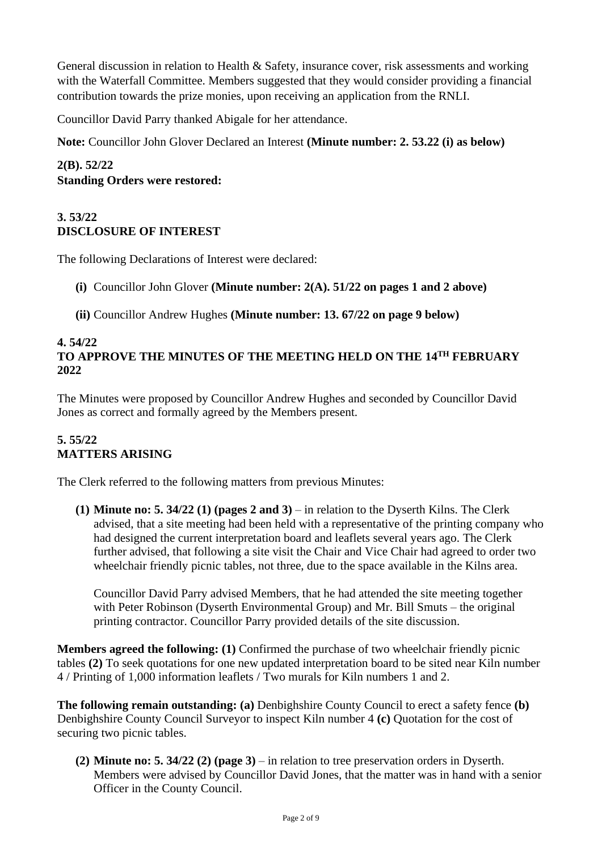General discussion in relation to Health & Safety, insurance cover, risk assessments and working with the Waterfall Committee. Members suggested that they would consider providing a financial contribution towards the prize monies, upon receiving an application from the RNLI.

Councillor David Parry thanked Abigale for her attendance.

**Note:** Councillor John Glover Declared an Interest **(Minute number: 2. 53.22 (i) as below)**

**2(B). 52/22 Standing Orders were restored:**

### **3. 53/22 DISCLOSURE OF INTEREST**

The following Declarations of Interest were declared:

- **(i)** Councillor John Glover **(Minute number: 2(A). 51/22 on pages 1 and 2 above)**
- **(ii)** Councillor Andrew Hughes **(Minute number: 13. 67/22 on page 9 below)**

#### **4. 54/22 TO APPROVE THE MINUTES OF THE MEETING HELD ON THE 14TH FEBRUARY 2022**

The Minutes were proposed by Councillor Andrew Hughes and seconded by Councillor David Jones as correct and formally agreed by the Members present.

# **5. 55/22 MATTERS ARISING**

The Clerk referred to the following matters from previous Minutes:

**(1) Minute no: 5. 34/22 (1) (pages 2 and 3)** – in relation to the Dyserth Kilns. The Clerk advised, that a site meeting had been held with a representative of the printing company who had designed the current interpretation board and leaflets several years ago. The Clerk further advised, that following a site visit the Chair and Vice Chair had agreed to order two wheelchair friendly picnic tables, not three, due to the space available in the Kilns area.

Councillor David Parry advised Members, that he had attended the site meeting together with Peter Robinson (Dyserth Environmental Group) and Mr. Bill Smuts – the original printing contractor. Councillor Parry provided details of the site discussion.

**Members agreed the following: (1)** Confirmed the purchase of two wheelchair friendly picnic tables **(2)** To seek quotations for one new updated interpretation board to be sited near Kiln number 4 / Printing of 1,000 information leaflets / Two murals for Kiln numbers 1 and 2.

**The following remain outstanding: (a)** Denbighshire County Council to erect a safety fence **(b)** Denbighshire County Council Surveyor to inspect Kiln number 4 **(c)** Quotation for the cost of securing two picnic tables.

**(2) Minute no: 5. 34/22 (2) (page 3)** – in relation to tree preservation orders in Dyserth. Members were advised by Councillor David Jones, that the matter was in hand with a senior Officer in the County Council.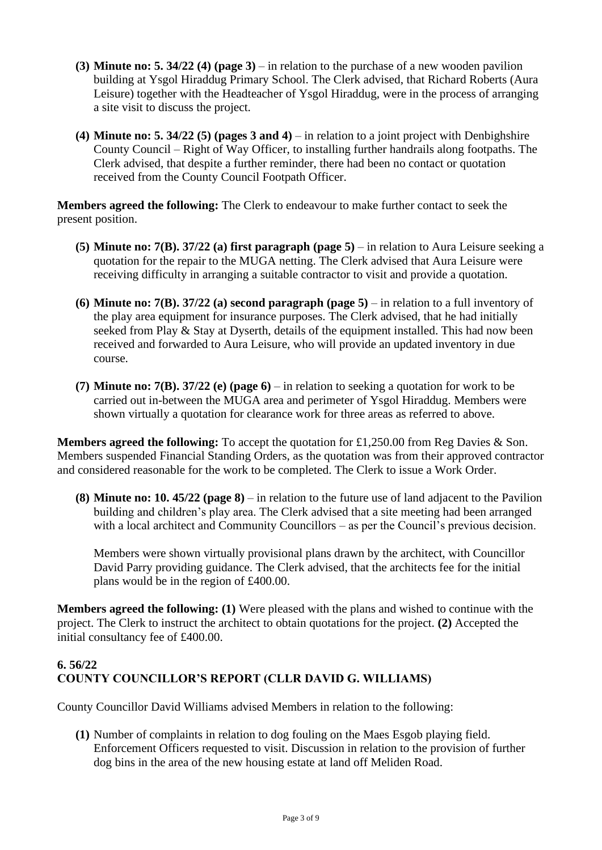- **(3) Minute no: 5. 34/22 (4) (page 3)** in relation to the purchase of a new wooden pavilion building at Ysgol Hiraddug Primary School. The Clerk advised, that Richard Roberts (Aura Leisure) together with the Headteacher of Ysgol Hiraddug, were in the process of arranging a site visit to discuss the project.
- **(4) Minute no: 5. 34/22 (5) (pages 3 and 4)** in relation to a joint project with Denbighshire County Council – Right of Way Officer, to installing further handrails along footpaths. The Clerk advised, that despite a further reminder, there had been no contact or quotation received from the County Council Footpath Officer.

**Members agreed the following:** The Clerk to endeavour to make further contact to seek the present position.

- **(5) Minute no: 7(B). 37/22 (a) first paragraph (page 5)** in relation to Aura Leisure seeking a quotation for the repair to the MUGA netting. The Clerk advised that Aura Leisure were receiving difficulty in arranging a suitable contractor to visit and provide a quotation.
- **(6) Minute no: 7(B). 37/22 (a) second paragraph (page 5)** in relation to a full inventory of the play area equipment for insurance purposes. The Clerk advised, that he had initially seeked from Play & Stay at Dyserth, details of the equipment installed. This had now been received and forwarded to Aura Leisure, who will provide an updated inventory in due course.
- **(7) Minute no: 7(B). 37/22 (e) (page 6)** in relation to seeking a quotation for work to be carried out in-between the MUGA area and perimeter of Ysgol Hiraddug. Members were shown virtually a quotation for clearance work for three areas as referred to above.

**Members agreed the following:** To accept the quotation for £1,250.00 from Reg Davies & Son. Members suspended Financial Standing Orders, as the quotation was from their approved contractor and considered reasonable for the work to be completed. The Clerk to issue a Work Order.

**(8) Minute no: 10. 45/22 (page 8)** – in relation to the future use of land adjacent to the Pavilion building and children's play area. The Clerk advised that a site meeting had been arranged with a local architect and Community Councillors – as per the Council's previous decision.

Members were shown virtually provisional plans drawn by the architect, with Councillor David Parry providing guidance. The Clerk advised, that the architects fee for the initial plans would be in the region of £400.00.

**Members agreed the following: (1)** Were pleased with the plans and wished to continue with the project. The Clerk to instruct the architect to obtain quotations for the project. **(2)** Accepted the initial consultancy fee of £400.00.

# **6. 56/22 COUNTY COUNCILLOR'S REPORT (CLLR DAVID G. WILLIAMS)**

County Councillor David Williams advised Members in relation to the following:

**(1)** Number of complaints in relation to dog fouling on the Maes Esgob playing field. Enforcement Officers requested to visit. Discussion in relation to the provision of further dog bins in the area of the new housing estate at land off Meliden Road.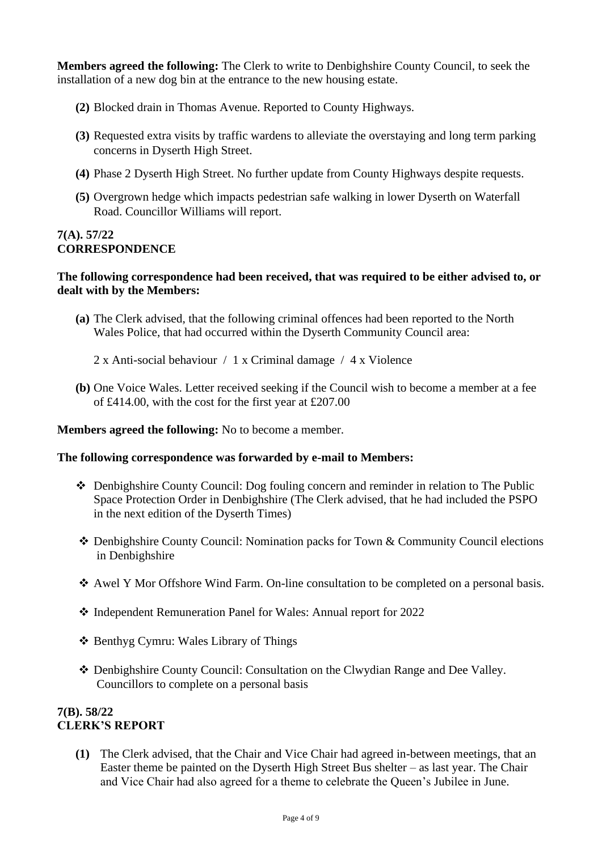**Members agreed the following:** The Clerk to write to Denbighshire County Council, to seek the installation of a new dog bin at the entrance to the new housing estate.

- **(2)** Blocked drain in Thomas Avenue. Reported to County Highways.
- **(3)** Requested extra visits by traffic wardens to alleviate the overstaying and long term parking concerns in Dyserth High Street.
- **(4)** Phase 2 Dyserth High Street. No further update from County Highways despite requests.
- **(5)** Overgrown hedge which impacts pedestrian safe walking in lower Dyserth on Waterfall Road. Councillor Williams will report.

# **7(A). 57/22 CORRESPONDENCE**

#### **The following correspondence had been received, that was required to be either advised to, or dealt with by the Members:**

- **(a)** The Clerk advised, that the following criminal offences had been reported to the North Wales Police, that had occurred within the Dyserth Community Council area:
	- 2 x Anti-social behaviour / 1 x Criminal damage / 4 x Violence
- **(b)** One Voice Wales. Letter received seeking if the Council wish to become a member at a fee of £414.00, with the cost for the first year at £207.00

#### **Members agreed the following:** No to become a member.

#### **The following correspondence was forwarded by e-mail to Members:**

- ❖ Denbighshire County Council: Dog fouling concern and reminder in relation to The Public Space Protection Order in Denbighshire (The Clerk advised, that he had included the PSPO in the next edition of the Dyserth Times)
- ❖ Denbighshire County Council: Nomination packs for Town & Community Council elections in Denbighshire
- ❖ Awel Y Mor Offshore Wind Farm. On-line consultation to be completed on a personal basis.
- ❖ Independent Remuneration Panel for Wales: Annual report for 2022
- ❖ Benthyg Cymru: Wales Library of Things
- ❖ Denbighshire County Council: Consultation on the Clwydian Range and Dee Valley. Councillors to complete on a personal basis

#### **7(B). 58/22 CLERK'S REPORT**

**(1)** The Clerk advised, that the Chair and Vice Chair had agreed in-between meetings, that an Easter theme be painted on the Dyserth High Street Bus shelter – as last year. The Chair and Vice Chair had also agreed for a theme to celebrate the Queen's Jubilee in June.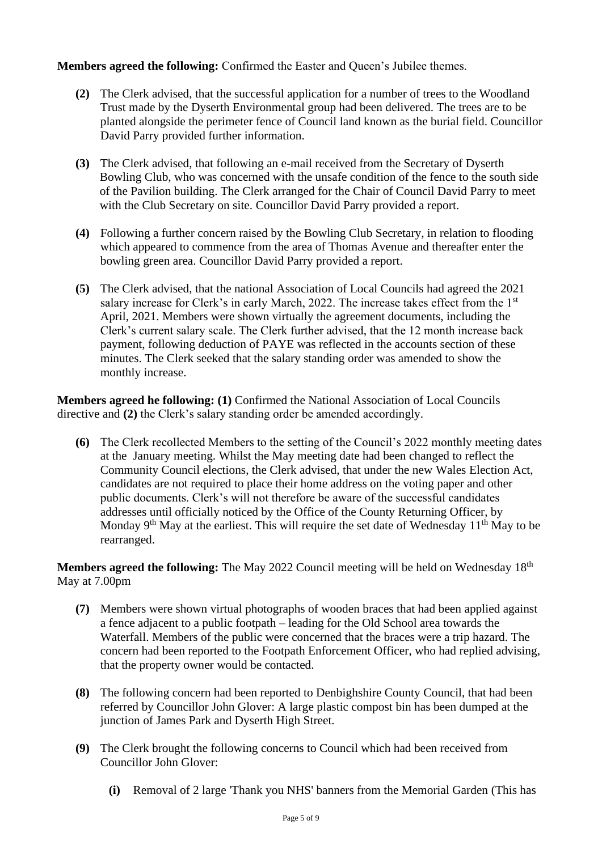**Members agreed the following:** Confirmed the Easter and Queen's Jubilee themes.

- **(2)** The Clerk advised, that the successful application for a number of trees to the Woodland Trust made by the Dyserth Environmental group had been delivered. The trees are to be planted alongside the perimeter fence of Council land known as the burial field. Councillor David Parry provided further information.
- **(3)** The Clerk advised, that following an e-mail received from the Secretary of Dyserth Bowling Club, who was concerned with the unsafe condition of the fence to the south side of the Pavilion building. The Clerk arranged for the Chair of Council David Parry to meet with the Club Secretary on site. Councillor David Parry provided a report.
- **(4)** Following a further concern raised by the Bowling Club Secretary, in relation to flooding which appeared to commence from the area of Thomas Avenue and thereafter enter the bowling green area. Councillor David Parry provided a report.
- **(5)** The Clerk advised, that the national Association of Local Councils had agreed the 2021 salary increase for Clerk's in early March, 2022. The increase takes effect from the 1<sup>st</sup> April, 2021. Members were shown virtually the agreement documents, including the Clerk's current salary scale. The Clerk further advised, that the 12 month increase back payment, following deduction of PAYE was reflected in the accounts section of these minutes. The Clerk seeked that the salary standing order was amended to show the monthly increase.

**Members agreed he following: (1)** Confirmed the National Association of Local Councils directive and **(2)** the Clerk's salary standing order be amended accordingly.

**(6)** The Clerk recollected Members to the setting of the Council's 2022 monthly meeting dates at the January meeting. Whilst the May meeting date had been changed to reflect the Community Council elections, the Clerk advised, that under the new Wales Election Act, candidates are not required to place their home address on the voting paper and other public documents. Clerk's will not therefore be aware of the successful candidates addresses until officially noticed by the Office of the County Returning Officer, by Monday  $9<sup>th</sup>$  May at the earliest. This will require the set date of Wednesday  $11<sup>th</sup>$  May to be rearranged.

**Members agreed the following:** The May 2022 Council meeting will be held on Wednesday 18<sup>th</sup> May at 7.00pm

- **(7)** Members were shown virtual photographs of wooden braces that had been applied against a fence adjacent to a public footpath – leading for the Old School area towards the Waterfall. Members of the public were concerned that the braces were a trip hazard. The concern had been reported to the Footpath Enforcement Officer, who had replied advising, that the property owner would be contacted.
- **(8)** The following concern had been reported to Denbighshire County Council, that had been referred by Councillor John Glover: A large plastic compost bin has been dumped at the junction of James Park and Dyserth High Street.
- **(9)** The Clerk brought the following concerns to Council which had been received from Councillor John Glover:
	- **(i)** Removal of 2 large 'Thank you NHS' banners from the Memorial Garden (This has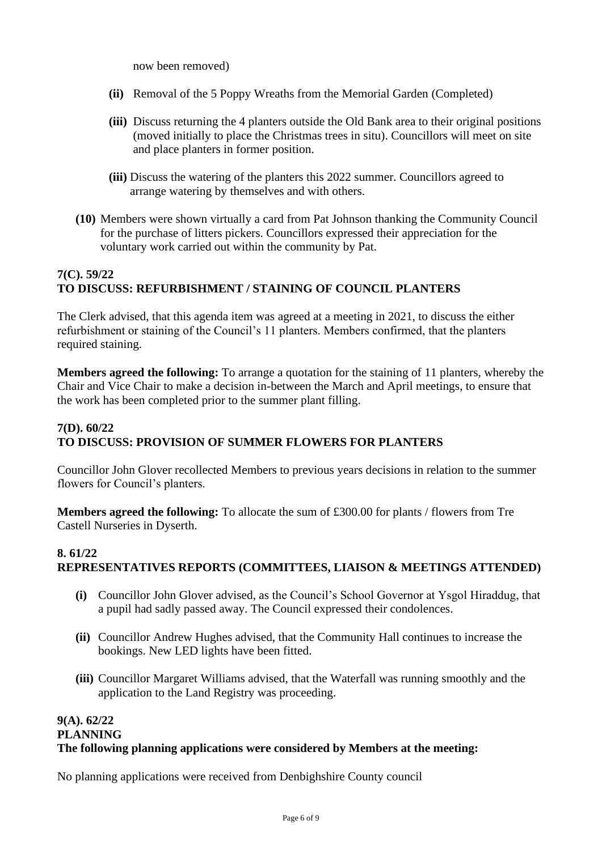now been removed)

- **(ii)** Removal of the 5 Poppy Wreaths from the Memorial Garden (Completed)
- **(iii)** Discuss returning the 4 planters outside the Old Bank area to their original positions (moved initially to place the Christmas trees in situ). Councillors will meet on site and place planters in former position.
- **(iii)** Discuss the watering of the planters this 2022 summer. Councillors agreed to arrange watering by themselves and with others.
- **(10)** Members were shown virtually a card from Pat Johnson thanking the Community Council for the purchase of litters pickers. Councillors expressed their appreciation for the voluntary work carried out within the community by Pat.

# **7(C). 59/22 TO DISCUSS: REFURBISHMENT / STAINING OF COUNCIL PLANTERS**

The Clerk advised, that this agenda item was agreed at a meeting in 2021, to discuss the either refurbishment or staining of the Council's 11 planters. Members confirmed, that the planters required staining.

**Members agreed the following:** To arrange a quotation for the staining of 11 planters, whereby the Chair and Vice Chair to make a decision in-between the March and April meetings, to ensure that the work has been completed prior to the summer plant filling.

#### **7(D). 60/22 TO DISCUSS: PROVISION OF SUMMER FLOWERS FOR PLANTERS**

Councillor John Glover recollected Members to previous years decisions in relation to the summer flowers for Council's planters.

**Members agreed the following:** To allocate the sum of £300.00 for plants / flowers from Tre Castell Nurseries in Dyserth.

#### **8. 61/22 REPRESENTATIVES REPORTS (COMMITTEES, LIAISON & MEETINGS ATTENDED)**

- **(i)** Councillor John Glover advised, as the Council's School Governor at Ysgol Hiraddug, that a pupil had sadly passed away. The Council expressed their condolences.
- **(ii)** Councillor Andrew Hughes advised, that the Community Hall continues to increase the bookings. New LED lights have been fitted.
- **(iii)** Councillor Margaret Williams advised, that the Waterfall was running smoothly and the application to the Land Registry was proceeding.

# **9(A). 62/22 PLANNING The following planning applications were considered by Members at the meeting:**

No planning applications were received from Denbighshire County council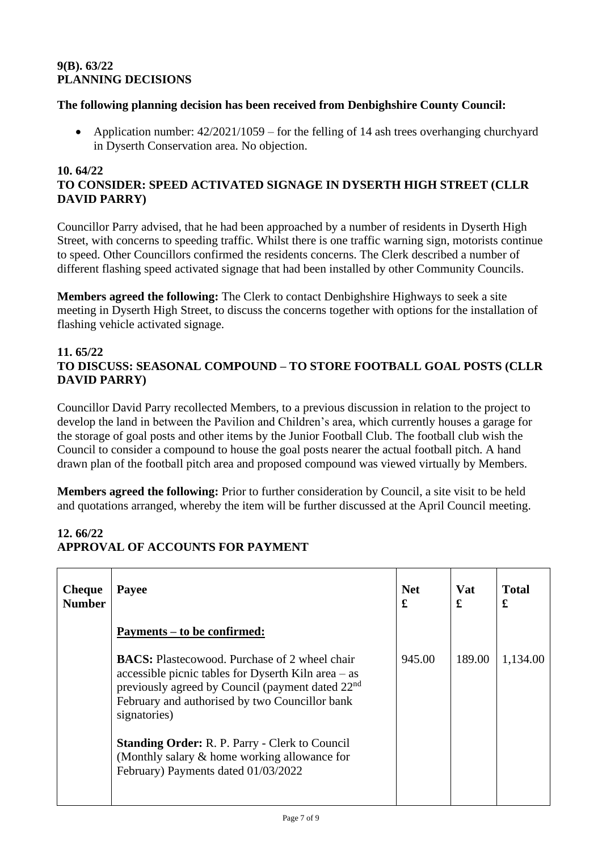# **9(B). 63/22 PLANNING DECISIONS**

#### **The following planning decision has been received from Denbighshire County Council:**

• Application number:  $42/2021/1059$  – for the felling of 14 ash trees overhanging churchyard in Dyserth Conservation area. No objection.

#### **10. 64/22 TO CONSIDER: SPEED ACTIVATED SIGNAGE IN DYSERTH HIGH STREET (CLLR DAVID PARRY)**

Councillor Parry advised, that he had been approached by a number of residents in Dyserth High Street, with concerns to speeding traffic. Whilst there is one traffic warning sign, motorists continue to speed. Other Councillors confirmed the residents concerns. The Clerk described a number of different flashing speed activated signage that had been installed by other Community Councils.

**Members agreed the following:** The Clerk to contact Denbighshire Highways to seek a site meeting in Dyserth High Street, to discuss the concerns together with options for the installation of flashing vehicle activated signage.

#### **11. 65/22 TO DISCUSS: SEASONAL COMPOUND – TO STORE FOOTBALL GOAL POSTS (CLLR DAVID PARRY)**

Councillor David Parry recollected Members, to a previous discussion in relation to the project to develop the land in between the Pavilion and Children's area, which currently houses a garage for the storage of goal posts and other items by the Junior Football Club. The football club wish the Council to consider a compound to house the goal posts nearer the actual football pitch. A hand drawn plan of the football pitch area and proposed compound was viewed virtually by Members.

**Members agreed the following:** Prior to further consideration by Council, a site visit to be held and quotations arranged, whereby the item will be further discussed at the April Council meeting.

# **12. 66/22 APPROVAL OF ACCOUNTS FOR PAYMENT**

| <b>Cheque</b><br><b>Number</b> | Payee                                                                                                                                                                                                                                           | <b>Net</b><br>£ | Vat<br>£ | <b>Total</b><br>£ |
|--------------------------------|-------------------------------------------------------------------------------------------------------------------------------------------------------------------------------------------------------------------------------------------------|-----------------|----------|-------------------|
|                                | Payments – to be confirmed:                                                                                                                                                                                                                     |                 |          |                   |
|                                | <b>BACS:</b> Plastecowood. Purchase of 2 wheel chair<br>accessible picnic tables for Dyserth Kiln area $-$ as<br>previously agreed by Council (payment dated 22 <sup>nd</sup><br>February and authorised by two Councillor bank<br>signatories) | 945.00          | 189.00   | 1,134.00          |
|                                | <b>Standing Order: R. P. Parry - Clerk to Council</b><br>(Monthly salary $\&$ home working allowance for<br>February) Payments dated 01/03/2022                                                                                                 |                 |          |                   |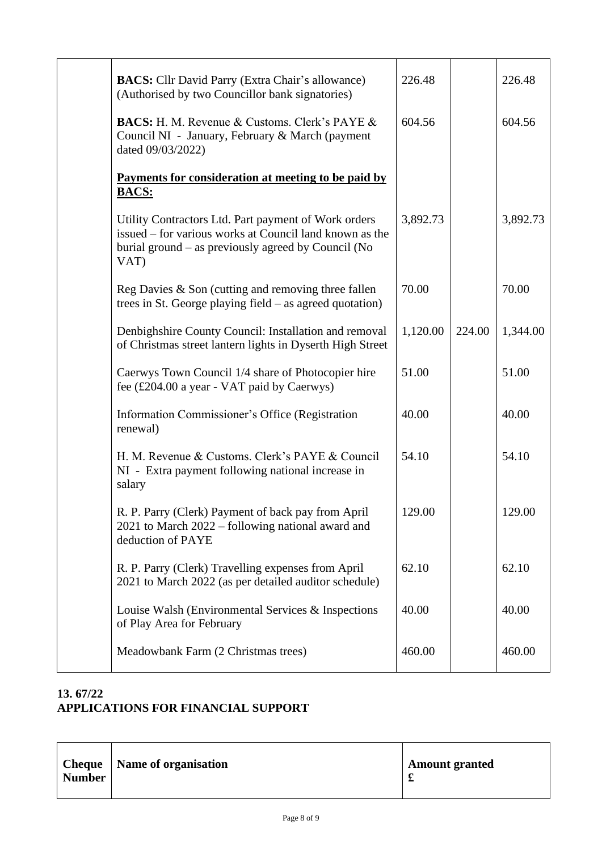| <b>BACS:</b> Cllr David Parry (Extra Chair's allowance)<br>(Authorised by two Councillor bank signatories)                                                                     | 226.48   |        | 226.48   |
|--------------------------------------------------------------------------------------------------------------------------------------------------------------------------------|----------|--------|----------|
| <b>BACS:</b> H. M. Revenue & Customs. Clerk's PAYE &<br>Council NI - January, February & March (payment<br>dated 09/03/2022)                                                   | 604.56   |        | 604.56   |
| Payments for consideration at meeting to be paid by                                                                                                                            |          |        |          |
| <b>BACS:</b>                                                                                                                                                                   |          |        |          |
| Utility Contractors Ltd. Part payment of Work orders<br>issued – for various works at Council land known as the<br>burial ground – as previously agreed by Council (No<br>VAT) | 3,892.73 |        | 3,892.73 |
| Reg Davies $\&$ Son (cutting and removing three fallen<br>trees in St. George playing field $-$ as agreed quotation)                                                           | 70.00    |        | 70.00    |
| Denbighshire County Council: Installation and removal<br>of Christmas street lantern lights in Dyserth High Street                                                             | 1,120.00 | 224.00 | 1,344.00 |
| Caerwys Town Council 1/4 share of Photocopier hire<br>fee (£204.00 a year - VAT paid by Caerwys)                                                                               | 51.00    |        | 51.00    |
| Information Commissioner's Office (Registration<br>renewal)                                                                                                                    | 40.00    |        | 40.00    |
| H. M. Revenue & Customs. Clerk's PAYE & Council<br>NI - Extra payment following national increase in<br>salary                                                                 | 54.10    |        | 54.10    |
| R. P. Parry (Clerk) Payment of back pay from April<br>2021 to March 2022 – following national award and<br>deduction of PAYE                                                   | 129.00   |        | 129.00   |
| R. P. Parry (Clerk) Travelling expenses from April<br>2021 to March 2022 (as per detailed auditor schedule)                                                                    | 62.10    |        | 62.10    |
| Louise Walsh (Environmental Services & Inspections)<br>of Play Area for February                                                                                               | 40.00    |        | 40.00    |
| Meadowbank Farm (2 Christmas trees)                                                                                                                                            | 460.00   |        | 460.00   |

# **13. 67/22 APPLICATIONS FOR FINANCIAL SUPPORT**

| <b>Cheque</b>   Name of organisation<br><b>Number</b> | <b>Amount granted</b> |
|-------------------------------------------------------|-----------------------|
|-------------------------------------------------------|-----------------------|